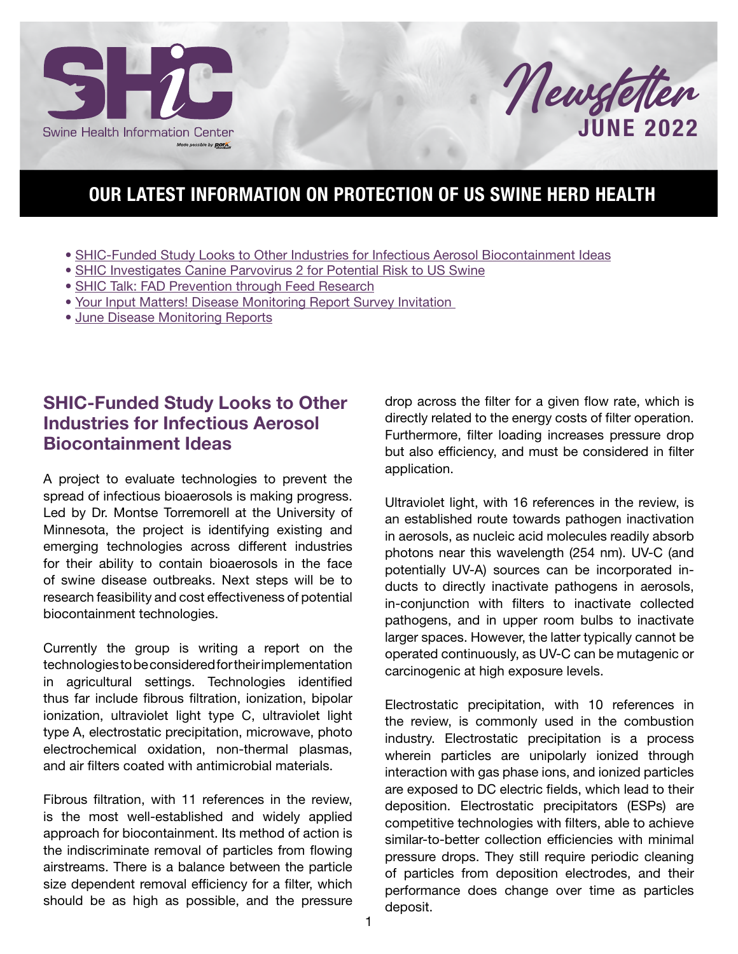



## OUR LATEST INFORMATION ON PROTECTION OF US SWINE HERD HEALTH

- SHIC-Funded Study Looks to Other Industries for Infectious Aerosol Biocontainment Ideas
- [SHIC Investigates Canine Parvovirus 2 for Potential Risk to US Swine](#page-1-0)
- [SHIC Talk: FAD Prevention through Feed Research](#page-1-0)
- [Your Input Matters! Disease Monitoring Report Survey Invitation](#page-1-0)
- [June Disease Monitoring Reports](#page-2-0)

#### SHIC-Funded Study Looks to Other Industries for Infectious Aerosol Biocontainment Ideas

A project to evaluate technologies to prevent the spread of infectious bioaerosols is making progress. Led by Dr. Montse Torremorell at the University of Minnesota, the project is identifying existing and emerging technologies across different industries for their ability to contain bioaerosols in the face of swine disease outbreaks. Next steps will be to research feasibility and cost effectiveness of potential biocontainment technologies.

Currently the group is writing a report on the technologies to be considered for their implementation in agricultural settings. Technologies identified thus far include fibrous filtration, ionization, bipolar ionization, ultraviolet light type C, ultraviolet light type A, electrostatic precipitation, microwave, photo electrochemical oxidation, non-thermal plasmas, and air filters coated with antimicrobial materials.

Fibrous filtration, with 11 references in the review, is the most well-established and widely applied approach for biocontainment. Its method of action is the indiscriminate removal of particles from flowing airstreams. There is a balance between the particle size dependent removal efficiency for a filter, which should be as high as possible, and the pressure

drop across the filter for a given flow rate, which is directly related to the energy costs of filter operation. Furthermore, filter loading increases pressure drop but also efficiency, and must be considered in filter application.

Ultraviolet light, with 16 references in the review, is an established route towards pathogen inactivation in aerosols, as nucleic acid molecules readily absorb photons near this wavelength (254 nm). UV-C (and potentially UV-A) sources can be incorporated inducts to directly inactivate pathogens in aerosols, in-conjunction with filters to inactivate collected pathogens, and in upper room bulbs to inactivate larger spaces. However, the latter typically cannot be operated continuously, as UV-C can be mutagenic or carcinogenic at high exposure levels.

Electrostatic precipitation, with 10 references in the review, is commonly used in the combustion industry. Electrostatic precipitation is a process wherein particles are unipolarly ionized through interaction with gas phase ions, and ionized particles are exposed to DC electric fields, which lead to their deposition. Electrostatic precipitators (ESPs) are competitive technologies with filters, able to achieve similar-to-better collection efficiencies with minimal pressure drops. They still require periodic cleaning of particles from deposition electrodes, and their performance does change over time as particles deposit.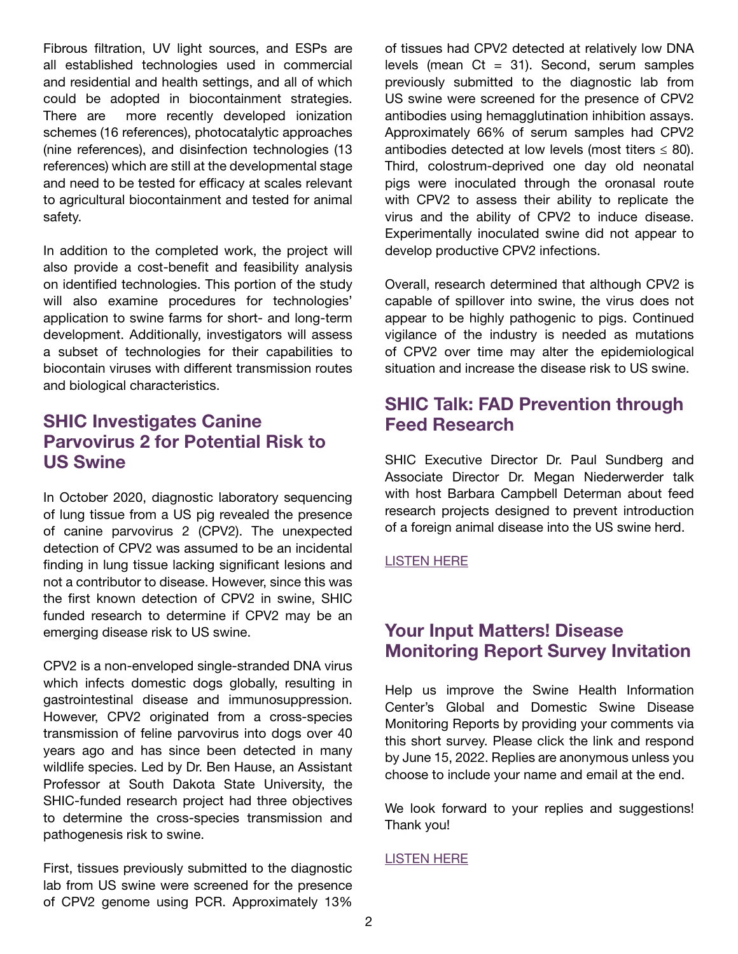<span id="page-1-0"></span>Fibrous filtration, UV light sources, and ESPs are all established technologies used in commercial and residential and health settings, and all of which could be adopted in biocontainment strategies. There are more recently developed ionization schemes (16 references), photocatalytic approaches (nine references), and disinfection technologies (13 references) which are still at the developmental stage and need to be tested for efficacy at scales relevant to agricultural biocontainment and tested for animal safety.

In addition to the completed work, the project will also provide a cost-benefit and feasibility analysis on identified technologies. This portion of the study will also examine procedures for technologies' application to swine farms for short- and long-term development. Additionally, investigators will assess a subset of technologies for their capabilities to biocontain viruses with different transmission routes and biological characteristics.

#### SHIC Investigates Canine Parvovirus 2 for Potential Risk to US Swine

In October 2020, diagnostic laboratory sequencing of lung tissue from a US pig revealed the presence of canine parvovirus 2 (CPV2). The unexpected detection of CPV2 was assumed to be an incidental finding in lung tissue lacking significant lesions and not a contributor to disease. However, since this was the first known detection of CPV2 in swine, SHIC funded research to determine if CPV2 may be an emerging disease risk to US swine.

CPV2 is a non-enveloped single-stranded DNA virus which infects domestic dogs globally, resulting in gastrointestinal disease and immunosuppression. However, CPV2 originated from a cross-species transmission of feline parvovirus into dogs over 40 years ago and has since been detected in many wildlife species. Led by Dr. Ben Hause, an Assistant Professor at South Dakota State University, the SHIC-funded research project had three objectives to determine the cross-species transmission and pathogenesis risk to swine.

First, tissues previously submitted to the diagnostic lab from US swine were screened for the presence of CPV2 genome using PCR. Approximately 13%

of tissues had CPV2 detected at relatively low DNA levels (mean  $Ct = 31$ ). Second, serum samples previously submitted to the diagnostic lab from US swine were screened for the presence of CPV2 antibodies using hemagglutination inhibition assays. Approximately 66% of serum samples had CPV2 antibodies detected at low levels (most titers  $\leq$  80). Third, colostrum-deprived one day old neonatal pigs were inoculated through the oronasal route with CPV2 to assess their ability to replicate the virus and the ability of CPV2 to induce disease. Experimentally inoculated swine did not appear to develop productive CPV2 infections.

Overall, research determined that although CPV2 is capable of spillover into swine, the virus does not appear to be highly pathogenic to pigs. Continued vigilance of the industry is needed as mutations of CPV2 over time may alter the epidemiological situation and increase the disease risk to US swine.

### SHIC Talk: FAD Prevention through Feed Research

SHIC Executive Director Dr. Paul Sundberg and Associate Director Dr. Megan Niederwerder talk with host Barbara Campbell Determan about feed research projects designed to prevent introduction of a foreign animal disease into the US swine herd.

[LISTEN HERE](www.swinehealth.org/podcasts)

#### Your Input Matters! Disease Monitoring Report Survey Invitation

Help us improve the Swine Health Information Center's Global and Domestic Swine Disease Monitoring Reports by providing your comments via this short survey. Please click the link and respond by June 15, 2022. Replies are anonymous unless you choose to include your name and email at the end.

We look forward to your replies and suggestions! Thank you!

#### [LISTEN HERE](https://forms.gle/SZB6GReCtDw6EHsa9)